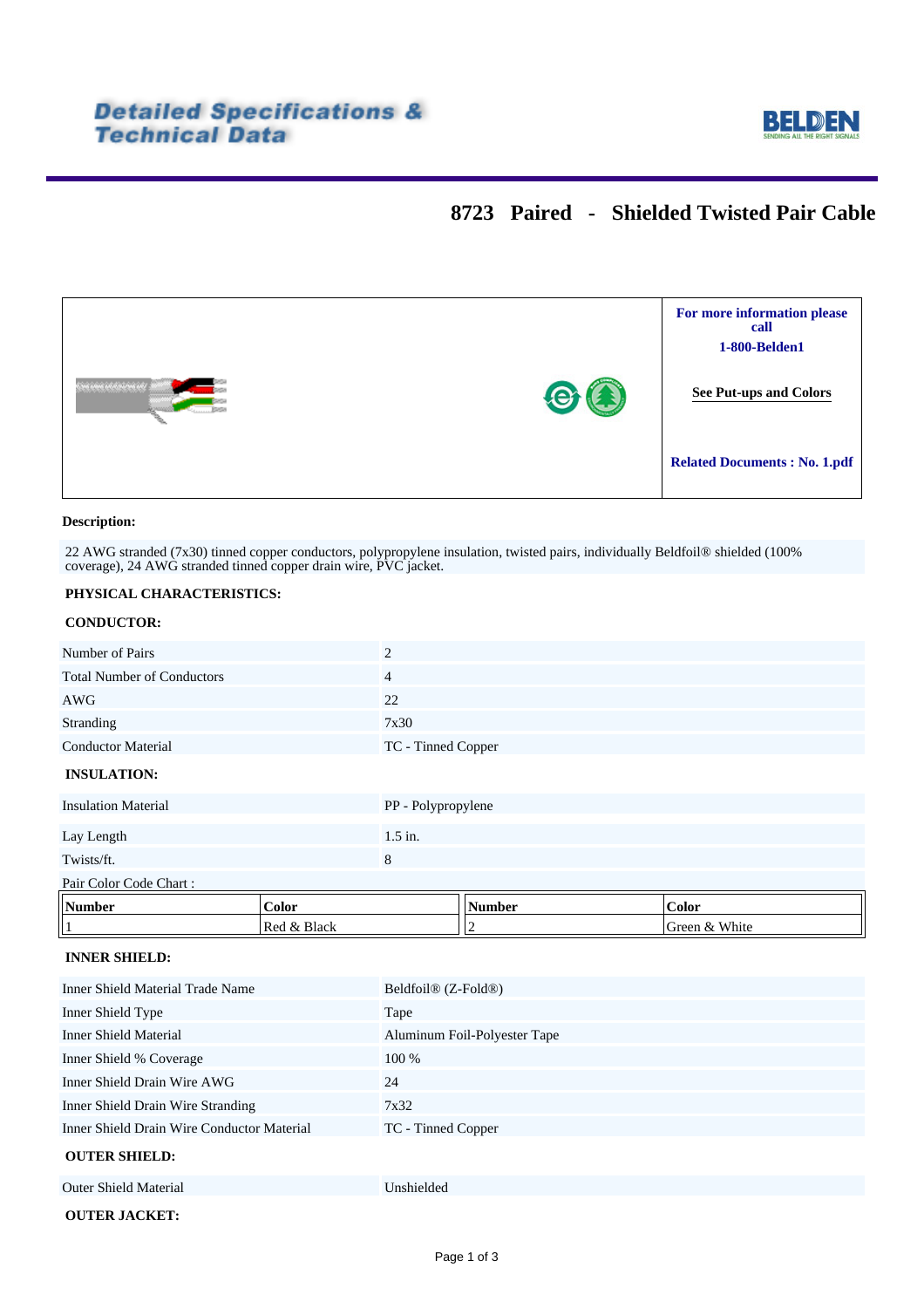

# **8723 Paired - Shielded Twisted Pair Cable**



### **Description:**

22 AWG stranded (7x30) tinned copper conductors, polypropylene insulation, twisted pairs, individually Beldfoil® shielded (100% coverage), 24 AWG stranded tinned copper drain wire, PVC jacket.

### **PHYSICAL CHARACTERISTICS:**

### **CONDUCTOR:**

| Number of Pairs                         |             | $\overline{2}$               |        |               |  |
|-----------------------------------------|-------------|------------------------------|--------|---------------|--|
| <b>Total Number of Conductors</b>       |             | 4                            |        |               |  |
| <b>AWG</b>                              |             | 22                           |        |               |  |
| Stranding                               |             | 7x30                         |        |               |  |
| <b>Conductor Material</b>               |             | TC - Tinned Copper           |        |               |  |
| <b>INSULATION:</b>                      |             |                              |        |               |  |
| <b>Insulation Material</b>              |             | PP - Polypropylene           |        |               |  |
| Lay Length                              |             | $1.5$ in.                    |        |               |  |
| Twists/ft.                              |             | $8\phantom{1}$               |        |               |  |
| Pair Color Code Chart:                  |             |                              |        |               |  |
| Number                                  | Color       |                              | Number | Color         |  |
| $\mathbf{1}$                            | Red & Black |                              | 2      | Green & White |  |
| <b>INNER SHIELD:</b>                    |             |                              |        |               |  |
| <b>Inner Shield Material Trade Name</b> |             | Beldfoil® (Z-Fold®)          |        |               |  |
| Inner Shield Type                       |             | Tape                         |        |               |  |
| <b>Inner Shield Material</b>            |             | Aluminum Foil-Polyester Tape |        |               |  |
|                                         |             |                              |        |               |  |

Inner Shield % Coverage 100 % Inner Shield Drain Wire AWG 24 Inner Shield Drain Wire Stranding 7x32 Inner Shield Drain Wire Conductor Material TC - Tinned Copper

### **OUTER SHIELD:**

| <u>ve ilin bilililib.</u>    |            |
|------------------------------|------------|
| <b>Outer Shield Material</b> | Unshielded |
| <b>OUTER JACKET:</b>         |            |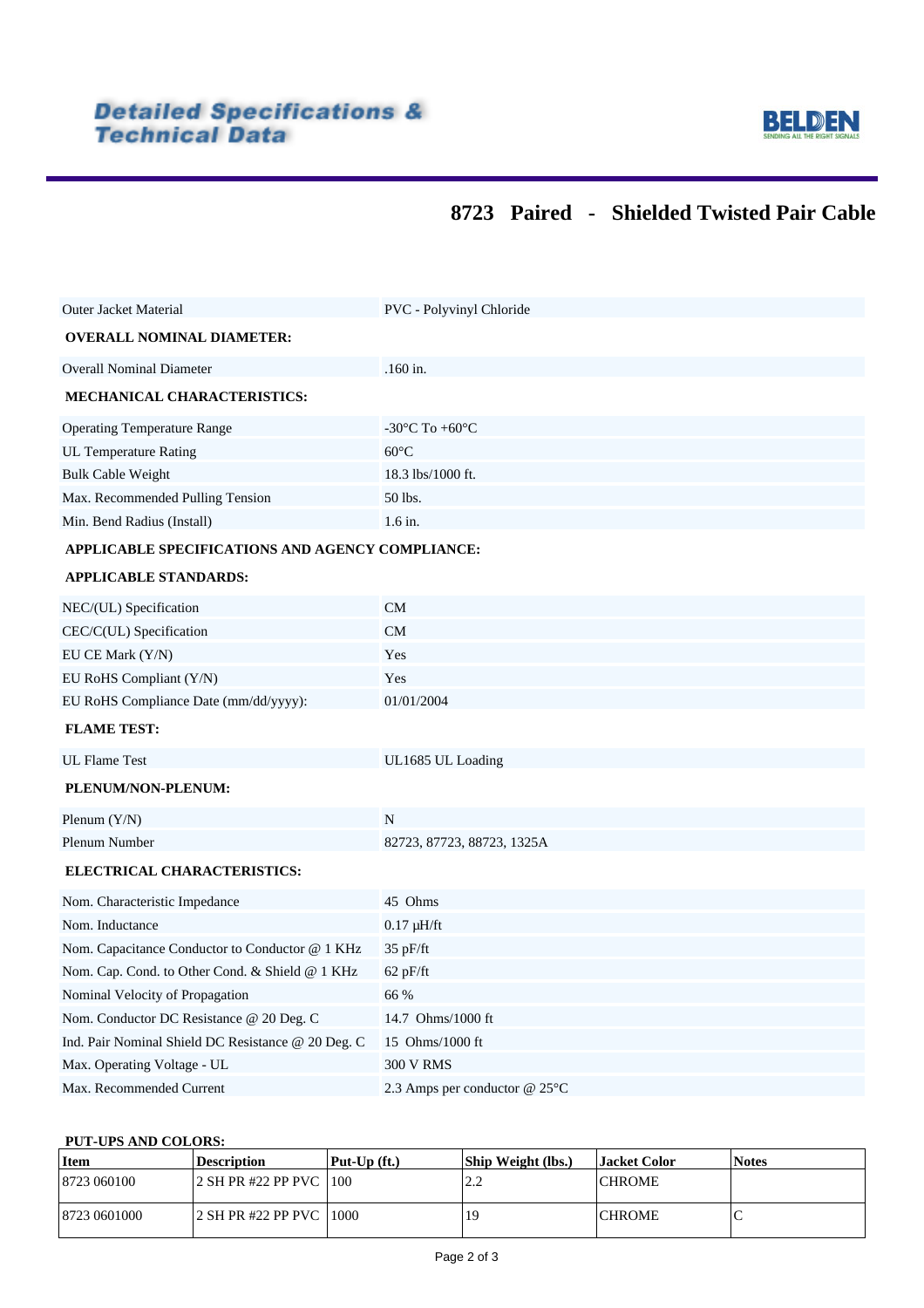

# **8723 Paired - Shielded Twisted Pair Cable**

| <b>Outer Jacket Material</b>                       | PVC - Polyvinyl Chloride           |
|----------------------------------------------------|------------------------------------|
| <b>OVERALL NOMINAL DIAMETER:</b>                   |                                    |
| <b>Overall Nominal Diameter</b>                    | $.160$ in.                         |
| MECHANICAL CHARACTERISTICS:                        |                                    |
| <b>Operating Temperature Range</b>                 | $-30^{\circ}$ C To $+60^{\circ}$ C |
| <b>UL Temperature Rating</b>                       | $60^{\circ}$ C                     |
| <b>Bulk Cable Weight</b>                           | 18.3 lbs/1000 ft.                  |
| Max. Recommended Pulling Tension                   | 50 lbs.                            |
| Min. Bend Radius (Install)                         | $1.6$ in.                          |
| APPLICABLE SPECIFICATIONS AND AGENCY COMPLIANCE:   |                                    |
| <b>APPLICABLE STANDARDS:</b>                       |                                    |
| NEC/(UL) Specification                             | <b>CM</b>                          |
| CEC/C(UL) Specification                            | <b>CM</b>                          |
| EU CE Mark (Y/N)                                   | Yes                                |
| EU RoHS Compliant (Y/N)                            | Yes                                |
| EU RoHS Compliance Date (mm/dd/yyyy):              | 01/01/2004                         |
| <b>FLAME TEST:</b>                                 |                                    |
| <b>UL Flame Test</b>                               | UL1685 UL Loading                  |
| PLENUM/NON-PLENUM:                                 |                                    |
| Plenum $(Y/N)$                                     | N                                  |
| Plenum Number                                      | 82723, 87723, 88723, 1325A         |
| ELECTRICAL CHARACTERISTICS:                        |                                    |
| Nom. Characteristic Impedance                      | 45 Ohms                            |
| Nom. Inductance                                    | $0.17 \mu H/ft$                    |
| Nom. Capacitance Conductor to Conductor @ 1 KHz    | 35 pF/ft                           |
| Nom. Cap. Cond. to Other Cond. & Shield @ 1 KHz    | $62$ pF/ft                         |
| Nominal Velocity of Propagation                    | 66 %                               |
| Nom. Conductor DC Resistance @ 20 Deg. C           | 14.7 Ohms/1000 ft                  |
| Ind. Pair Nominal Shield DC Resistance @ 20 Deg. C | 15 Ohms/1000 ft                    |
| Max. Operating Voltage - UL                        | <b>300 V RMS</b>                   |
| Max. Recommended Current                           | 2.3 Amps per conductor $@25°C$     |

### <span id="page-1-0"></span>**PUT-UPS AND COLORS:**

| Item          | <b>Description</b>       | $\vert$ Put-Up $(ft.)$ | Ship Weight (lbs.) | Jacket Color | <b>Notes</b> |
|---------------|--------------------------|------------------------|--------------------|--------------|--------------|
| 8723 060100   | 2 SH PR #22 PP PVC 100   |                        | າາ<br>∠.∠          | ICHROME      |              |
| 18723 0601000 | 12 SH PR #22 PP PVC 1000 |                        | 19                 | ICHROME      |              |